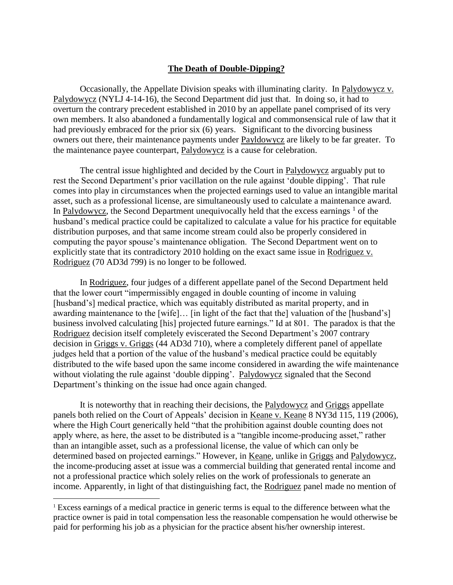## **The Death of Double-Dipping?**

Occasionally, the Appellate Division speaks with illuminating clarity. In Palydowycz v. Palydowycz (NYLJ 4-14-16), the Second Department did just that. In doing so, it had to overturn the contrary precedent established in 2010 by an appellate panel comprised of its very own members. It also abandoned a fundamentally logical and commonsensical rule of law that it had previously embraced for the prior six (6) years. Significant to the divorcing business owners out there, their maintenance payments under Payldowycz are likely to be far greater. To the maintenance payee counterpart, Palydowycz is a cause for celebration.

The central issue highlighted and decided by the Court in Palydowycz arguably put to rest the Second Department's prior vacillation on the rule against 'double dipping'. That rule comes into play in circumstances when the projected earnings used to value an intangible marital asset, such as a professional license, are simultaneously used to calculate a maintenance award. In Palydowycz, the Second Department unequivocally held that the excess earnings  $<sup>1</sup>$  of the</sup> husband's medical practice could be capitalized to calculate a value for his practice for equitable distribution purposes, and that same income stream could also be properly considered in computing the payor spouse's maintenance obligation. The Second Department went on to explicitly state that its contradictory 2010 holding on the exact same issue in Rodriguez v. Rodriguez (70 AD3d 799) is no longer to be followed.

In Rodriguez, four judges of a different appellate panel of the Second Department held that the lower court "impermissibly engaged in double counting of income in valuing [husband's] medical practice, which was equitably distributed as marital property, and in awarding maintenance to the [wife]… [in light of the fact that the] valuation of the [husband's] business involved calculating [his] projected future earnings." Id at 801. The paradox is that the Rodriguez decision itself completely eviscerated the Second Department's 2007 contrary decision in Griggs v. Griggs (44 AD3d 710), where a completely different panel of appellate judges held that a portion of the value of the husband's medical practice could be equitably distributed to the wife based upon the same income considered in awarding the wife maintenance without violating the rule against 'double dipping'. Palydowycz signaled that the Second Department's thinking on the issue had once again changed.

It is noteworthy that in reaching their decisions, the Palydowycz and Griggs appellate panels both relied on the Court of Appeals' decision in Keane v. Keane 8 NY3d 115, 119 (2006), where the High Court generically held "that the prohibition against double counting does not apply where, as here, the asset to be distributed is a "tangible income-producing asset," rather than an intangible asset, such as a professional license, the value of which can only be determined based on projected earnings." However, in Keane, unlike in Griggs and Palydowycz, the income-producing asset at issue was a commercial building that generated rental income and not a professional practice which solely relies on the work of professionals to generate an income. Apparently, in light of that distinguishing fact, the Rodriguez panel made no mention of

 $\overline{\phantom{a}}$ 

<sup>&</sup>lt;sup>1</sup> Excess earnings of a medical practice in generic terms is equal to the difference between what the practice owner is paid in total compensation less the reasonable compensation he would otherwise be paid for performing his job as a physician for the practice absent his/her ownership interest.